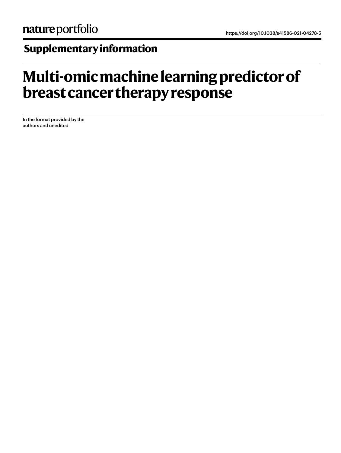# **Supplementary information**

# **Multi-omic machine learning predictor of breast cancer therapy response**

In the format provided by the authors and unedited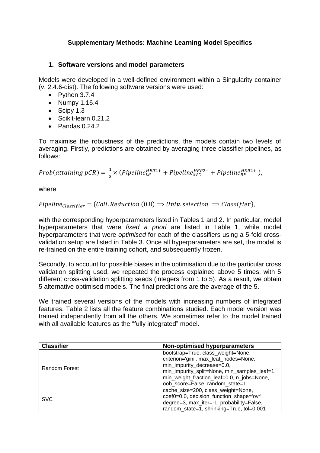## **Supplementary Methods: Machine Learning Model Specifics**

### **1. Software versions and model parameters**

Models were developed in a well-defined environment within a Singularity container (v. 2.4.6-dist). The following software versions were used:

- $\bullet$  Python 3.7.4
- $\bullet$  Numpy 1.16.4
- $\bullet$  Scipy 1.3
- Scikit-learn 0.21.2
- $\bullet$  Pandas 0.24.2

To maximise the robustness of the predictions, the models contain two levels of averaging. Firstly, predictions are obtained by averaging three classifier pipelines, as follows:

Prob(attaining pCR) =  $\frac{1}{2}$  $\frac{1}{3}$   $\times$  (Pipeline $_{LR}^{HER2+}$  + Pipeline $_{SVC}^{HER2+}$  + Pipeline $_{RF}^{HER2+}$  ),

where

 $Pipeline_{Classifier} = \{Coll, Reduction(0.8) \Rightarrow Univ, selection \Rightarrow Classifier\},\$ 

with the corresponding hyperparameters listed in Tables 1 and 2. In particular, model hyperparameters that were *fixed a priori* are listed in Table 1, while model hyperparameters that were *optimised* for each of the classifiers using a 5-fold crossvalidation setup are listed in Table 3. Once all hyperparameters are set, the model is re-trained on the entire training cohort, and subsequently frozen.

Secondly, to account for possible biases in the optimisation due to the particular cross validation splitting used, we repeated the process explained above 5 times, with 5 different cross-validation splitting seeds (integers from 1 to 5). As a result, we obtain 5 alternative optimised models. The final predictions are the average of the 5.

We trained several versions of the models with increasing numbers of integrated features. Table 2 lists all the feature combinations studied. Each model version was trained independently from all the others. We sometimes refer to the model trained with all available features as the "fully integrated" model.

| <b>Classifier</b> | Non-optimised hyperparameters                |  |  |  |  |  |
|-------------------|----------------------------------------------|--|--|--|--|--|
|                   | bootstrap=True, class_weight=None,           |  |  |  |  |  |
|                   | criterion='gini', max_leaf_nodes=None,       |  |  |  |  |  |
| Random Forest     | min_impurity_decrease=0.0,                   |  |  |  |  |  |
|                   | min_impurity_split=None, min_samples_leaf=1, |  |  |  |  |  |
|                   | min_weight_fraction_leaf=0.0, n_jobs=None,   |  |  |  |  |  |
|                   | oob_score=False, random_state=1              |  |  |  |  |  |
|                   | cache_size=200, class_weight=None,           |  |  |  |  |  |
| <b>SVC</b>        | coef0=0.0, decision_function_shape='ovr',    |  |  |  |  |  |
|                   | degree=3, max_iter=-1, probability=False,    |  |  |  |  |  |
|                   | random_state=1, shrinking=True, tol=0.001    |  |  |  |  |  |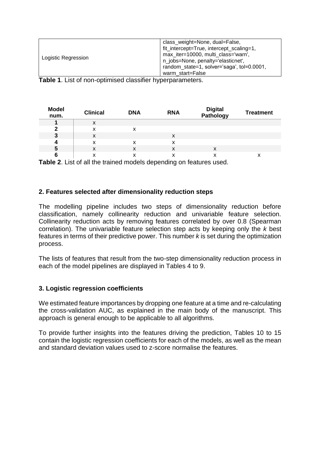| Logistic Regression | class weight=None, dual=False,<br>fit_intercept=True, intercept_scaling=1,<br>max iter=10000, multi class='warn',<br>n_jobs=None, penalty='elasticnet',<br>random_state=1, solver='saga', tol=0.0001, |
|---------------------|-------------------------------------------------------------------------------------------------------------------------------------------------------------------------------------------------------|
|                     |                                                                                                                                                                                                       |
|                     | warm start=False                                                                                                                                                                                      |

**Table 1**. List of non-optimised classifier hyperparameters.

| <b>Model</b><br>num. | <b>Clinical</b> | <b>DNA</b> | <b>RNA</b> | Digital<br>Pathology | <b>Treatment</b> |
|----------------------|-----------------|------------|------------|----------------------|------------------|
|                      | х               |            |            |                      |                  |
| 2                    | x               |            |            |                      |                  |
| 3                    | х               |            | х          |                      |                  |
| 4                    | x               | x          | x          |                      |                  |
| 5                    | х               | X          | X          | X                    |                  |
| 6                    | ́               | ́          | ⋏          | v<br>л               | ́                |

**Table 2**. List of all the trained models depending on features used.

#### **2. Features selected after dimensionality reduction steps**

The modelling pipeline includes two steps of dimensionality reduction before classification, namely collinearity reduction and univariable feature selection. Collinearity reduction acts by removing features correlated by over 0.8 (Spearman correlation). The univariable feature selection step acts by keeping only the *k* best features in terms of their predictive power. This number *k* is set during the optimization process.

The lists of features that result from the two-step dimensionality reduction process in each of the model pipelines are displayed in Tables 4 to 9.

#### **3. Logistic regression coefficients**

We estimated feature importances by dropping one feature at a time and re-calculating the cross-validation AUC, as explained in the main body of the manuscript. This approach is general enough to be applicable to all algorithms.

To provide further insights into the features driving the prediction, Tables 10 to 15 contain the logistic regression coefficients for each of the models, as well as the mean and standard deviation values used to z-score normalise the features.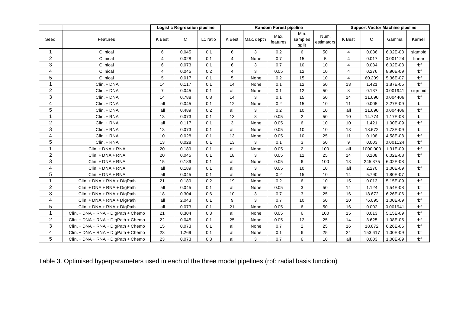|                         |                                       |                | <b>Logistic Regression pipeline</b> |          | <b>Random Forest pipeline</b><br><b>Support Vector Machine pipeline</b> |            |                  |                          |                    |                |              |          |         |  |
|-------------------------|---------------------------------------|----------------|-------------------------------------|----------|-------------------------------------------------------------------------|------------|------------------|--------------------------|--------------------|----------------|--------------|----------|---------|--|
| Seed                    | Features                              | <b>K</b> Best  | C                                   | L1 ratio | K Best                                                                  | Max. depth | Max.<br>features | Min.<br>samples<br>split | Num.<br>estimators | K Best         | $\mathsf{C}$ | Gamma    | Kernel  |  |
| $\mathbf{1}$            | Clinical                              | 6              | 0.045                               | 0.1      | 6                                                                       | 3          | 0.2              | 6                        | 50                 | $\overline{4}$ | 0.086        | 6.02E-08 | sigmoid |  |
| $\overline{2}$          | Clinical                              | 4              | 0.028                               | 0.1      | 4                                                                       | None       | 0.7              | 15                       | 5                  | 4              | 0.017        | 0.001124 | linear  |  |
| 3                       | Clinical                              | 6              | 0.073                               | 0.1      | 6                                                                       | 3          | 0.7              | 10                       | 10                 | $\overline{4}$ | 0.034        | 6.02E-08 | rbf     |  |
| $\overline{\mathbf{4}}$ | Clinical                              | 4              | 0.045                               | 0.2      | 4                                                                       | 3          | 0.05             | 12                       | 10                 | $\overline{4}$ | 0.276        | 8.90E-09 | rbf     |  |
| 5                       | Clinical                              | 5              | 0.017                               | 0.1      | 5                                                                       | None       | 0.2              | 15                       | 10                 | $\overline{4}$ | 60.209       | 5.36E-07 | rbf     |  |
| $\mathbf{1}$            | Clin. + DNA                           | 14             | 0.117                               | 0.1      | 14                                                                      | None       | 0.1              | 12                       | 50                 | 13             | 1.421        | 1.87E-05 | rbf     |  |
| $\overline{2}$          | Clin. + DNA                           | $\overline{7}$ | 0.045                               | 0.1      | all                                                                     | None       | 0.1              | 12                       | 50                 | 8              | 0.137        | 0.001941 | sigmoid |  |
| 3                       | Clin. + DNA                           | 14             | 0.788                               | 0.8      | 14                                                                      | 3          | 0.1              | 15                       | 50                 | 14             | 11.690       | 0.004406 | rbf     |  |
| $\overline{\mathbf{4}}$ | Clin. + DNA                           | all            | 0.045                               | 0.1      | 12                                                                      | None       | 0.2              | 15                       | 10                 | 11             | 0.005        | 2.27E-09 | rbf     |  |
| 5                       | Clin. + DNA                           | all            | 0.489                               | 0.2      | all                                                                     | 3          | 0.2              | 10                       | 10                 | all            | 11.690       | 0.004406 | rbf     |  |
| $\mathbf{1}$            | Clin. + RNA                           | 13             | 0.073                               | 0.1      | 13                                                                      | 3          | 0.05             | $\overline{2}$           | 50                 | 10             | 14.774       | 1.17E-08 | rbf     |  |
| $\sqrt{2}$              | Clin. + RNA                           | all            | 0.117                               | 0.1      | 3                                                                       | None       | 0.05             | 6                        | 10                 | 10             | 1.421        | 1.00E-09 | rbf     |  |
| 3                       | Clin. + RNA                           | 13             | 0.073                               | 0.1      | all                                                                     | None       | 0.05             | 10                       | 10                 | 13             | 18.672       | 1.73E-09 | rbf     |  |
| $\overline{\mathbf{4}}$ | Clin. + RNA                           | 10             | 0.028                               | 0.1      | 13                                                                      | None       | 0.05             | 10                       | 25                 | 11             | 0.108        | 4.58E-08 | rbf     |  |
| 5                       | Clin. + RNA                           | 13             | 0.028                               | 0.1      | 13                                                                      | 3          | 0.1              | 3                        | 50                 | 9              | 0.003        | 0.001124 | rbf     |  |
| $\mathbf{1}$            | Clin. + DNA + RNA                     | 20             | 0.189                               | 0.1      | all                                                                     | None       | 0.05             | $\overline{2}$           | 100                | all            | 1000.000     | 1.31E-09 | rbf     |  |
| $\overline{2}$          | Clin. + DNA + RNA                     | 20             | 0.045                               | 0.1      | 18                                                                      | 3          | 0.05             | 12                       | 25                 | 14             | 0.108        | 6.02E-08 | rbf     |  |
| $\mathbf{3}$            | Clin. + DNA + RNA                     | 15             | 0.189                               | 0.1      | all                                                                     | None       | 0.05             | 6                        | 100                | 13             | 245.375      | 6.02E-08 | rbf     |  |
| $\overline{\mathbf{4}}$ | Clin. + DNA + RNA                     | all            | 0.189                               | 0.1      | all                                                                     | 3          | 0.05             | 10                       | 10                 | all            | 2.270        | 1.00E-09 | rbf     |  |
| 5                       | Clin. + DNA + RNA                     | all            | 0.045                               | 0.1      | all                                                                     | None       | 0.2              | 15                       | 10                 | 14             | 5.790        | 1.80E-07 | rbf     |  |
| $\mathbf{1}$            | Clin. + DNA + RNA + DigPath           | 21             | 0.189                               | 0.2      | 19                                                                      | None       | $0.2\,$          | 6                        | 10                 | 15             | 0.013        | 5.15E-09 | rbf     |  |
| $\sqrt{2}$              | Clin. + DNA + RNA + DigPath           | all            | 0.045                               | 0.1      | all                                                                     | None       | 0.05             | 3                        | 50                 | 14             | 1.124        | 1.54E-08 | rbf     |  |
| $\sqrt{3}$              | Clin. + DNA + RNA + DigPath           | 18             | 0.304                               | 0.6      | 10                                                                      | 3          | 0.7              | 3                        | 25                 | 16             | 18.672       | 6.26E-06 | rbf     |  |
| 4                       | Clin. + DNA + RNA + DigPath           | all            | 2.043                               | 0.1      | 9                                                                       | 3          | 0.7              | 10                       | 50                 | 20             | 76.095       | 1.00E-09 | rbf     |  |
| 5                       | Clin. + DNA + RNA + DigPath           | all            | 0.073                               | 0.1      | 21                                                                      | None       | 0.05             | 6                        | 50                 | 16             | 0.002        | 0.001941 | rbf     |  |
| $\mathbf{1}$            | $Clin. + DNA + RNA + DigPath + Chemo$ | 21             | 0.304                               | 0.3      | all                                                                     | None       | 0.05             | $\,6\,$                  | 100                | 15             | 0.013        | 5.15E-09 | rbf     |  |
| 2                       | Clin. + DNA + RNA + DigPath + Chemo   | 22             | 0.045                               | 0.1      | 25                                                                      | None       | 0.05             | 12                       | 25                 | 14             | 3.625        | 1.08E-05 | rbf     |  |
| 3                       | Clin. + DNA + RNA + DigPath + Chemo   | 15             | 0.073                               | 0.1      | all                                                                     | None       | 0.7              | $\overline{2}$           | 25                 | 16             | 18.672       | 6.26E-06 | rbf     |  |
| 4                       | Clin. + DNA + RNA + DigPath + Chemo   | 23             | 1.269                               | 0.1      | all                                                                     | None       | 0.1              | 6                        | 25                 | 24             | 153.617      | 1.00E-09 | rbf     |  |
| 5                       | $Clin. + DNA + RNA + DigPath + Chemo$ | 23             | 0.073                               | 0.3      | all                                                                     | 3          | 0.7              | 6                        | 10                 | all            | 0.003        | 1.00E-09 | rbf     |  |

Table 3. Optimised hyperparameters used in each of the three model pipelines (rbf: radial basis function)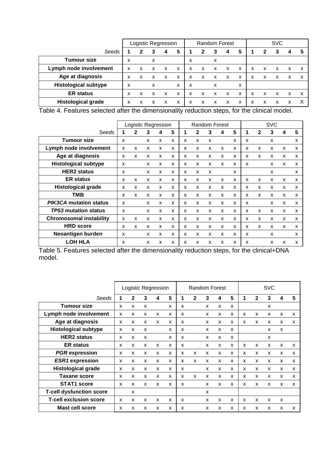|                             |   |   | Logistic Regression |   |                           |   | <b>Random Forest</b> |   |   |   | <b>SVC</b> |   |   |   |   |
|-----------------------------|---|---|---------------------|---|---------------------------|---|----------------------|---|---|---|------------|---|---|---|---|
| Seeds                       |   | 2 | 3                   |   | 5                         |   | 2                    |   | 4 | 5 |            | 2 | 3 |   | 5 |
| <b>Tumour size</b>          | x |   | x                   |   |                           | x |                      | x |   |   |            |   |   |   |   |
| Lymph node involvement      | x | x | x                   | x | $\boldsymbol{\mathsf{x}}$ | x | x                    | x | X | X | x          | x | х | x | x |
| Age at diagnosis            | x | x | x                   | x | X                         | x | x                    | X | X | X | x          | X | x | x | x |
| <b>Histological subtype</b> | x |   | x                   |   | X                         | x |                      | x |   | x |            |   |   |   |   |
| <b>ER status</b>            | x | x |                     | x | X                         | x | x                    | x | x | X | x          | x | x | x | x |
| <b>Histological grade</b>   | x | x |                     | x | X                         | X | x                    | x | x | x | x          | x | x | x |   |

Table 4. Features selected after the dimensionality reduction steps, for the clinical model.

|                                | Logistic Regression       |   |   |   |   |   |   |   | Random Forest |   |                           |   | <b>SVC</b> |   |   |
|--------------------------------|---------------------------|---|---|---|---|---|---|---|---------------|---|---------------------------|---|------------|---|---|
| Seeds                          |                           |   | 3 | 4 | 5 |   | 2 | 3 | 4             | 5 | 1                         | 2 | 3          | 4 | 5 |
| <b>Tumour size</b>             | X                         |   | X | X | X | x | X | X |               | X | X                         |   | X          |   | X |
| Lymph node involvement         | X                         | X | x | X | X | X | X | X | X             | X | $\boldsymbol{\mathsf{x}}$ | X | X          | X | X |
| Age at diagnosis               | X                         | x | x | X | x | x | x | x | x             | x | X                         | x | X          | x | X |
| <b>Histological subtype</b>    | X                         |   | x | X | X | x | X | X | X             | X | $\boldsymbol{\mathsf{x}}$ |   | x          | x | X |
| <b>HER2</b> status             | x                         |   | x | x | X | x | x | x |               | x |                           |   | X          |   | X |
| <b>ER status</b>               | X                         | X | X | X | X | X | X | X | X             | X | $\boldsymbol{\mathsf{x}}$ | X | X          | x | X |
| <b>Histological grade</b>      | $\boldsymbol{\mathsf{x}}$ | x | X | X | X | X | X | X | X             | X | $\boldsymbol{\mathsf{x}}$ | X | X          | X | X |
| <b>TMB</b>                     | X                         | x | x | x | x | X | x | X | x             | X | X                         | x | X          | X | X |
| <b>PIK3CA mutation status</b>  | X                         |   | x | X | X | X | X | X | X             | x | X                         |   | X          | X | X |
| <b>TP53 mutation status</b>    | X                         |   | X | X | X | X | X | X | X             | X | X                         | x | X          | x | X |
| <b>Chromosomal instability</b> | X                         | X | x | X | X | X | X | X | X             | X | X                         | X | X          | X | X |
| <b>HRD</b> score               | X                         | x | X | X | X | X | X | X | X             | X | X                         | X | X          | X | X |
| Neoantigen burden              | X                         |   | X | X | X | X | X | X | X             | X | X                         |   | X          |   | X |
| <b>LOH HLA</b>                 | X                         |   | X | X | X | X | X | X | X             | X | X                         |   | X          | X | X |

Table 5. Features selected after the dimensionality reduction steps, for the clinical+DNA model.

|                                 |   |   | Logistic Regression |   |   |   | <b>Random Forest</b> |   |   |   | <b>SVC</b> |              |                           |                           |   |
|---------------------------------|---|---|---------------------|---|---|---|----------------------|---|---|---|------------|--------------|---------------------------|---------------------------|---|
| Seeds                           |   | 2 | 3                   | 4 | 5 | 1 | $\mathbf{2}$         | 3 | 4 | 5 |            | $\mathbf{2}$ | 3                         | 4                         | 5 |
| <b>Tumour size</b>              | x | x | X                   |   | X | X |                      | x | X | x |            |              | X                         |                           |   |
| Lymph node involvement          | X | x | X                   | X | X | X |                      | x | X | X | X          | X            | X                         | X                         | X |
| Age at diagnosis                | X | x | X                   | X | X | X |                      | x | X | X | X          | X            | X                         | X                         | X |
| <b>Histological subtype</b>     | X | x | X                   |   | X | X |                      | x | X | X |            |              | X                         | X                         |   |
| <b>HER2</b> status              | X | x | X                   |   | x | X |                      | x | X | x |            |              | X                         |                           |   |
| <b>ER status</b>                | X | X | X                   | X | X | X |                      | x | X | X | X          | X            | X                         | X                         | X |
| <b>PGR</b> expression           | x | X | X                   | X | X | X | X                    | X | X | x | X          | X            | X                         | X                         | X |
| <b>ESR1</b> expression          | x | x | X                   | X | X | x | X                    | x | X | x | x          | X            | $\mathsf{x}$              | x                         | X |
| <b>Histological grade</b>       | x | x | X                   | X | X | X |                      | X | X | x | X          | X            | X                         | X                         | X |
| <b>Taxane score</b>             | x | X | X                   | X | X | X | X                    | x | X | x | X          | X            | X                         | X                         | x |
| <b>STAT1</b> score              | X | X | X                   | X | X | X |                      | X | X | X | x          | X            | $\mathsf{x}$              | X                         | X |
| <b>T-cell dysfunction score</b> |   | X |                     |   |   |   |                      | x |   |   |            |              |                           |                           |   |
| <b>T-cell exclusion score</b>   | X | X | X                   | X | X | X |                      | x | X | X | X          | X            | $\boldsymbol{\mathsf{x}}$ | $\boldsymbol{\mathsf{x}}$ |   |
| <b>Mast cell score</b>          | x | x | x                   | x | X | X |                      | x | x | x | x          | X            | X                         | x                         | X |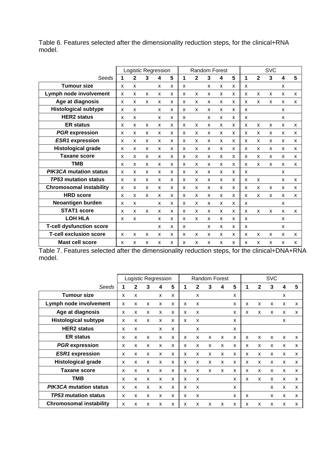Table 6. Features selected after the dimensionality reduction steps, for the clinical+RNA model.

|                                 | Logistic Regression       |   |              |   |              |                           |              |   | <b>Random Forest</b>      |              | <b>SVC</b>                |              |              |   |                           |
|---------------------------------|---------------------------|---|--------------|---|--------------|---------------------------|--------------|---|---------------------------|--------------|---------------------------|--------------|--------------|---|---------------------------|
| Seeds                           | 1                         | 2 | 3            | 4 | 5            | 1                         | $\mathbf{2}$ | 3 | 4                         | 5            | 1                         | $\mathbf{2}$ | $\mathbf{3}$ | 4 | 5                         |
| <b>Tumour size</b>              | X                         | X |              | X | x            | X                         |              | x | X                         | x            | X                         |              |              | X |                           |
| Lymph node involvement          | $\boldsymbol{\mathsf{x}}$ | X | X            | X | X            | X                         | X            | X | X                         | X            | $\boldsymbol{\mathsf{x}}$ | X            | X            | X | X                         |
| Age at diagnosis                | $\boldsymbol{\mathsf{x}}$ | X | X            | X | X            | X                         | X            | X | X                         | X            | x                         | X            | X            | X | X                         |
| <b>Histological subtype</b>     | $\boldsymbol{\mathsf{x}}$ | X |              | X | X            | X                         | X            | X | X                         | X            | $\mathsf{x}$              |              |              | X |                           |
| <b>HER2</b> status              | X                         | X |              | X | X            | X                         |              | X | X                         | X            | $\boldsymbol{\mathsf{x}}$ |              |              | X |                           |
| <b>ER status</b>                | X                         | x | X            | X | X            | x                         | X            | X | X                         | x            | X                         | X            | X            | X | X                         |
| <b>PGR</b> expression           | $\boldsymbol{\mathsf{x}}$ | X | X            | X | X            | X                         | X            | X | X                         | X            | $\mathsf{x}$              | X            | X            | X | X                         |
| <b>ESR1</b> expression          | $\boldsymbol{\mathsf{x}}$ | X | X            | X | X            | X                         | X            | X | X                         | X            | x                         | X            | X            | X | X                         |
| <b>Histological grade</b>       | $\mathbf{x}$              | X | $\mathbf{x}$ | X | X            | X                         | $\mathbf{x}$ | X | X                         | X            | X                         | X            | X            | X | X                         |
| <b>Taxane score</b>             | X                         | X | X            | X | X            | X                         | X            | X | X                         | X            | $\boldsymbol{\mathsf{x}}$ | X            | X            | X | X                         |
| <b>TMB</b>                      | X                         | X | x            | X | x            | x                         | X            | X | X                         | x            | X                         | X            | X            | X | X                         |
| <b>PIK3CA mutation status</b>   | X                         | X | X            | X | X            | X                         | X            | X | X                         | X            | x                         |              |              | X |                           |
| <b>TP53 mutation status</b>     | $\mathsf{x}$              | X | X            | x | X            | X                         | X            | X | X                         | x            | X                         | X            |              | X | X                         |
| <b>Chromosomal instability</b>  | $\mathbf{x}$              | X | $\mathbf{x}$ | X | $\mathbf{x}$ | X                         | $\mathbf{x}$ | X | X                         | $\mathbf{x}$ | $\mathbf{x}$              | X            | X            | X | $\boldsymbol{\mathsf{x}}$ |
| <b>HRD</b> score                | X                         | X | X            | X | X            | X                         | X            | X | X                         | X            | $\mathsf{x}$              | X            | X            | X | X                         |
| Neoantigen burden               | X                         | X |              | X | x            | X                         | X            | X | X                         | x            | X                         |              |              | x |                           |
| <b>STAT1 score</b>              | X                         | X | X            | X | X            | X                         | X            | X | X                         | x            | x                         | X            | X            | X | X                         |
| <b>LOH HLA</b>                  | X                         | X |              | X | X            | X                         | X            | X | X                         | X            | X                         |              |              | X |                           |
| <b>T-cell dysfunction score</b> |                           |   |              | X | X            | X                         |              | X | $\boldsymbol{\mathsf{x}}$ | X            | X                         |              |              | X |                           |
| <b>T-cell exclusion score</b>   | $\boldsymbol{\mathsf{x}}$ | X | X            | X | X            | $\boldsymbol{\mathsf{x}}$ | X            | X | X                         | X            | $\mathsf{x}$              | X            | X            | X | X                         |
| Mast cell score                 | X                         | X | X            | X | x            | x                         | X            | X | X                         | X            | $\mathsf{x}$              | X            | X            | X | X                         |

Table 7. Features selected after the dimensionality reduction steps, for the clinical+DNA+RNA model.

|                                | Logistic Regression |   |   |   |   |             |              |   | Random Forest |   |                           |              | <b>SVC</b>                |   |   |
|--------------------------------|---------------------|---|---|---|---|-------------|--------------|---|---------------|---|---------------------------|--------------|---------------------------|---|---|
| Seeds                          |                     | 2 | 3 | 4 | 5 | $\mathbf 1$ | $\mathbf{2}$ | 3 | 4             | 5 | 1                         | $\mathbf{2}$ | 3                         | 4 | 5 |
| <b>Tumour size</b>             | X                   | X |   | X | X |             | X            |   |               | X |                           |              |                           | X |   |
| Lymph node involvement         | X                   | X | X | X | X | x           | X            |   |               | X | X                         | X            | X                         | X | X |
| Age at diagnosis               | X                   | X | X | X | X | x           | X            |   |               | X | $\boldsymbol{\mathsf{x}}$ | X            | $\boldsymbol{\mathsf{x}}$ | X | X |
| <b>Histological subtype</b>    | X                   | X | X | X | X | X           | X            |   |               | x |                           |              |                           | X |   |
| <b>HER2</b> status             | X                   | X |   | X | X |             | X            |   |               | X |                           |              |                           |   |   |
| <b>ER status</b>               | X                   | X | X | X | X | X           | X            | X | X             | X | $\boldsymbol{\mathsf{x}}$ | X            | $\mathsf{x}$              | X | X |
| <b>PGR</b> expression          | X                   | X | X | X | X | X           | X            | X | x             | x | $\boldsymbol{\mathsf{x}}$ | X            | X                         | X | X |
| <b>ESR1</b> expression         | X                   | X | X | X | X | x           | X            | X | x             | x | X                         | X            | X                         | X | X |
| <b>Histological grade</b>      | X                   | X | X | X | X | X           | X            | X | X             | x | $\boldsymbol{\mathsf{x}}$ | X            | $\boldsymbol{\mathsf{x}}$ | X | X |
| <b>Taxane score</b>            | X                   | X | x | X | X | x           | x            | X | x             | x | $\boldsymbol{\mathsf{x}}$ | X            | X                         | X | X |
| TMB                            | X                   | X | X | X | X | X           | X            |   |               | X | $\boldsymbol{\mathsf{x}}$ | X            | X                         | X | X |
| <b>PIK3CA mutation status</b>  | X                   | X | x | X | X | X           | X            |   |               | x |                           |              | X                         | X | X |
| <b>TP53 mutation status</b>    | X                   | X | X | X | X | X           | X            |   |               | X | X                         |              | X                         | X | X |
| <b>Chromosomal instability</b> | X                   | X | X | X | X | X           | X            | X | X             | X | X                         | X            | X                         | X | X |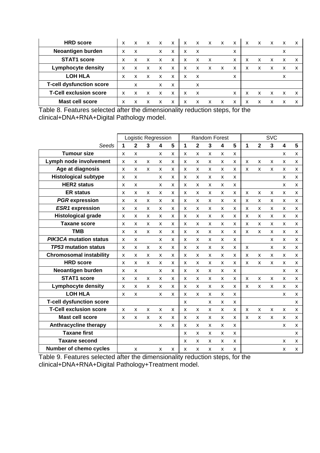| <b>HRD</b> score                | x | x | X                         | X                         | X | x | X | X | X | x | x | X | X | x | x |
|---------------------------------|---|---|---------------------------|---------------------------|---|---|---|---|---|---|---|---|---|---|---|
| Neoantigen burden               | x | x |                           | X                         | x | x | X |   |   | x |   |   |   |   |   |
| <b>STAT1 score</b>              | x | x | X                         | $\boldsymbol{\mathsf{x}}$ | X | x | X | x |   | x | x | x | x | x | x |
| <b>Lymphocyte density</b>       | x | x | x                         | x                         | X | x | x | x | x | x | x | x | x | x | x |
| <b>LOH HLA</b>                  | x | x | $\boldsymbol{\mathsf{x}}$ | $\boldsymbol{\mathsf{x}}$ | X | x | X |   |   | x |   |   |   | x |   |
| <b>T-cell dysfunction score</b> |   | x |                           | x                         | x |   | x |   |   |   |   |   |   |   |   |
| <b>T-Cell exclusion score</b>   | x | x | x                         | x                         | x | x | x |   |   | x |   | x | x | x | x |
| <b>Mast cell score</b>          |   |   |                           | х                         | х | х |   | x |   | х |   | x |   |   |   |

Table 8. Features selected after the dimensionality reduction steps, for the clinical+DNA+RNA+Digital Pathology model.

|                                 |                    |              |   | Logistic Regression       |              |   |              |              | Random Forest  |   | <b>SVC</b> |                |   |   |   |
|---------------------------------|--------------------|--------------|---|---------------------------|--------------|---|--------------|--------------|----------------|---|------------|----------------|---|---|---|
| Seeds                           | 1                  | $\mathbf{2}$ | 3 | 4                         | 5            | 1 | $\mathbf{2}$ | $\mathbf{3}$ | 4              | 5 | 1          | $\overline{2}$ | 3 | 4 | 5 |
| <b>Tumour size</b>              | x                  | X            |   | X                         | X            | X | X            | x            | x              | x |            |                |   | x | X |
| Lymph node involvement          | X                  | X            | X | X                         | X            | X | X            | X            | X              | X | X          | X              | X | x | X |
| Age at diagnosis                | X                  | X            | X | X                         | X            | X | X            | X            | X              | x | X          | X              | X | x | X |
| <b>Histological subtype</b>     | X                  | X            |   | X                         | X            | X | X            | X            | X              | x |            |                |   | x | x |
| <b>HER2</b> status              | x                  | X            |   | X                         | X            | X | x            | x            | x              | x |            |                |   | x | x |
| <b>ER status</b>                | X                  | X            | X | X                         | X            | X | X            | X            | X              | x | X          | X              | X | X | X |
| <b>PGR</b> expression           | x                  | x            | x | X                         | x            | X | x            | x            | x              | x | x          | x              | x | x | x |
| <b>ESR1</b> expression          | X                  | X            | X | X                         | X            | x | X            | X            | X              | x | x          | X              | X | x | x |
| <b>Histological grade</b>       | X                  | X            | X | X                         | X            | X | X            | X            | X              | x | x          | X              | X | X | X |
| <b>Taxane score</b>             | x                  | X            | x | X                         | x            | x | x            | x            | x              | x | x          | x              | x | x | x |
| <b>TMB</b>                      | X                  | X            | X | X                         | $\mathsf{x}$ | X | X            | X            | X              | x | x          | X              | x | x | X |
| <b>PIK3CA mutation status</b>   | X                  | X            |   | X                         | X            | X | X            | X            | X              | x |            |                | X | X | X |
| <b>TP53 mutation status</b>     | X                  | X            | X | X                         | X            | X | X            | X            | X              | X | x          |                | x | x | X |
| <b>Chromosomal instability</b>  | X                  | X            | X | X                         | $\mathsf{x}$ | X | X            | X            | X              | x | x          | X              | X | x | X |
| <b>HRD</b> score                | $\mathsf{x}$       | X            | X | $\boldsymbol{\mathsf{x}}$ | X            | X | X            | X            | X              | X | X          | X              | X | X | X |
| Neoantigen burden               | X                  | X            |   | X                         | X            | X | x            | X            | x              | x |            |                |   | x | x |
| <b>STAT1 score</b>              | $\mathsf{x}$       | X            | X | $\boldsymbol{\mathsf{x}}$ | $\mathsf{x}$ | X | $\mathsf{x}$ | X            | $\pmb{\times}$ | X | X          | X              | X | x | X |
| <b>Lymphocyte density</b>       | $\pmb{\mathsf{x}}$ | X            | X | $\pmb{\times}$            | X            | X | X            | X            | X              | X | X          | x              | X | x | X |
| <b>LOH HLA</b>                  | X                  | X            |   | X                         | X            | X | X            | X            | X              | X |            |                |   | x | x |
| <b>T-cell dysfunction score</b> |                    |              |   |                           |              | X |              | X            | X              | X |            |                |   |   | X |
| <b>T-Cell exclusion score</b>   | X                  | X            | X | X                         | X            | X | X            | X            | X              | X | X          | X              | X | X | X |
| <b>Mast cell score</b>          | x                  | X            | x | x                         | x            | X | x            | x            | x              | x | x          | x              | x | x | x |
| <b>Anthracycline therapy</b>    |                    |              |   | X                         | X            | X | X            | X            | X              | x |            |                |   | x | X |
| <b>Taxane first</b>             |                    |              |   |                           |              | X | x            | x            | X              | x |            |                |   |   | x |
| <b>Taxane second</b>            |                    |              |   |                           |              | X | x            | x            | x              | x |            |                |   | x | x |
| <b>Number of chemo cycles</b>   |                    | x            |   | X                         | x            | x | x            | x            | x              | x |            |                |   | x | x |

Table 9. Features selected after the dimensionality reduction steps, for the clinical+DNA+RNA+Digital Pathology+Treatment model.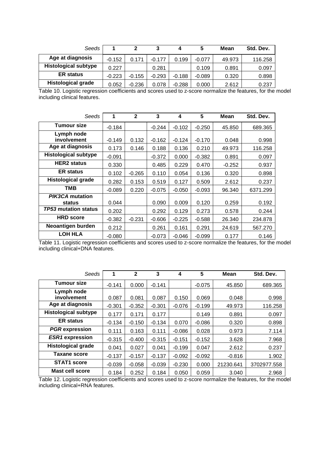| Seeds                       |          | 2        |          | 4        | 5        | Mean   | Std. Dev. |
|-----------------------------|----------|----------|----------|----------|----------|--------|-----------|
| Age at diagnosis            | $-0.152$ | 0.171    | $-0.177$ | 0.199    | $-0.077$ | 49.973 | 116.258   |
| <b>Histological subtype</b> | 0.227    |          | 0.281    |          | 0.109    | 0.891  | 0.097     |
| <b>ER</b> status            | $-0.223$ | $-0.155$ | $-0.293$ | $-0.188$ | $-0.089$ | 0.320  | 0.898     |
| <b>Histological grade</b>   | 0.052    | $-0.236$ | 0.078    | $-0.288$ | 0.000    | 2.612  | 0.237     |

Table 10. Logistic regression coefficients and scores used to z-score normalize the features, for the model including clinical features.

| Seeds                            | $\mathbf 1$ | $\mathbf{2}$ | 3        | 4        | 5        | Mean     | Std. Dev. |
|----------------------------------|-------------|--------------|----------|----------|----------|----------|-----------|
| <b>Tumour size</b>               | $-0.184$    |              | $-0.244$ | $-0.102$ | $-0.250$ | 45.850   | 689.365   |
| Lymph node<br>involvement        | $-0.149$    | 0.132        | $-0.162$ | $-0.124$ | $-0.170$ | 0.048    | 0.998     |
| Age at diagnosis                 | 0.173       | 0.146        | 0.188    | 0.136    | 0.210    | 49.973   | 116.258   |
| <b>Histological subtype</b>      | $-0.091$    |              | $-0.372$ | 0.000    | $-0.382$ | 0.891    | 0.097     |
| <b>HER2</b> status               | 0.330       |              | 0.485    | 0.229    | 0.470    | $-0.252$ | 0.937     |
| <b>ER status</b>                 | 0.102       | $-0.265$     | 0.110    | 0.054    | 0.136    | 0.320    | 0.898     |
| <b>Histological grade</b>        | 0.282       | 0.153        | 0.519    | 0.127    | 0.509    | 2.612    | 0.237     |
| TMB                              | $-0.089$    | 0.220        | $-0.075$ | $-0.050$ | $-0.093$ | 96.340   | 6371.299  |
| <b>PIK3CA mutation</b><br>status | 0.044       |              | 0.090    | 0.009    | 0.120    | 0.259    | 0.192     |
| <i>TP53</i> mutation status      | 0.202       |              | 0.292    | 0.129    | 0.273    | 0.578    | 0.244     |
| <b>HRD</b> score                 | $-0.382$    | $-0.231$     | $-0.606$ | $-0.225$ | $-0.588$ | 26.340   | 234.878   |
| Neoantigen burden                | 0.212       |              | 0.261    | 0.161    | 0.291    | 24.619   | 567.270   |
| <b>LOH HLA</b>                   | $-0.080$    |              | $-0.073$ | $-0.046$ | $-0.099$ | 0.177    | 0.146     |

Table 11. Logistic regression coefficients and scores used to z-score normalize the features, for the model including clinical+DNA features.

| Seeds                       | 1        | $\mathbf 2$ | 3        | 4        | 5        | <b>Mean</b> | Std. Dev.   |
|-----------------------------|----------|-------------|----------|----------|----------|-------------|-------------|
| <b>Tumour size</b>          | $-0.141$ | 0.000       | $-0.141$ |          | $-0.075$ | 45.850      | 689.365     |
| Lymph node                  |          |             |          |          |          |             |             |
| involvement                 | 0.087    | 0.081       | 0.087    | 0.150    | 0.069    | 0.048       | 0.998       |
| Age at diagnosis            | $-0.301$ | $-0.352$    | $-0.301$ | $-0.076$ | $-0.199$ | 49.973      | 116.258     |
| <b>Histological subtype</b> | 0.177    | 0.171       | 0.177    |          | 0.149    | 0.891       | 0.097       |
| <b>ER</b> status            | $-0.134$ | $-0.150$    | $-0.134$ | 0.070    | $-0.086$ | 0.320       | 0.898       |
| <b>PGR</b> expression       | 0.111    | 0.163       | 0.111    | $-0.086$ | 0.028    | 0.973       | 7.114       |
| <b>ESR1</b> expression      | $-0.315$ | $-0.400$    | $-0.315$ | $-0.151$ | $-0.152$ | 3.628       | 7.968       |
| <b>Histological grade</b>   | 0.041    | 0.027       | 0.041    | $-0.199$ | 0.047    | 2.612       | 0.237       |
| Taxane score                | $-0.137$ | $-0.157$    | $-0.137$ | $-0.092$ | $-0.092$ | $-0.816$    | 1.902       |
| <b>STAT1 score</b>          | $-0.039$ | $-0.058$    | $-0.039$ | $-0.230$ | 0.000    | 21230.641   | 3702977.558 |
| Mast cell score             | 0.184    | 0.252       | 0.184    | 0.050    | 0.059    | 3.040       | 2.968       |

Table 12. Logistic regression coefficients and scores used to z-score normalize the features, for the model including clinical+RNA features.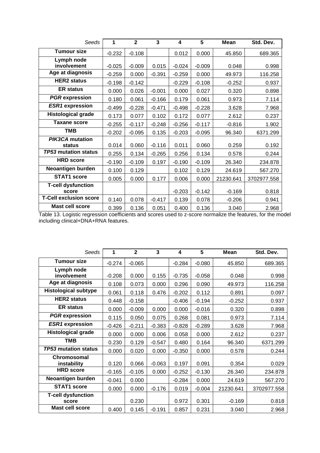| Seeds                              | 1        | $\overline{2}$ | 3        | 4        | 5        | <b>Mean</b> | Std. Dev.   |
|------------------------------------|----------|----------------|----------|----------|----------|-------------|-------------|
| <b>Tumour size</b>                 | $-0.232$ | $-0.108$       |          | 0.012    | 0.000    | 45.850      | 689.365     |
| Lymph node<br>involvement          | $-0.025$ | $-0.009$       | 0.015    | $-0.024$ | $-0.009$ | 0.048       | 0.998       |
| Age at diagnosis                   | $-0.259$ | 0.000          | $-0.391$ | $-0.259$ | 0.000    | 49.973      | 116.258     |
| <b>HER2 status</b>                 | $-0.198$ | $-0.142$       |          | $-0.229$ | $-0.108$ | $-0.252$    | 0.937       |
| <b>ER status</b>                   | 0.000    | 0.026          | $-0.001$ | 0.000    | 0.027    | 0.320       | 0.898       |
| <b>PGR</b> expression              | 0.180    | 0.061          | $-0.166$ | 0.179    | 0.061    | 0.973       | 7.114       |
| <b>ESR1</b> expression             | $-0.499$ | $-0.228$       | $-0.471$ | $-0.498$ | $-0.228$ | 3.628       | 7.968       |
| <b>Histological grade</b>          | 0.173    | 0.077          | 0.102    | 0.172    | 0.077    | 2.612       | 0.237       |
| <b>Taxane score</b>                | $-0.255$ | $-0.117$       | $-0.248$ | $-0.256$ | $-0.117$ | $-0.816$    | 1.902       |
| <b>TMB</b>                         | $-0.202$ | $-0.095$       | 0.135    | $-0.203$ | $-0.095$ | 96.340      | 6371.299    |
| <b>PIK3CA</b> mutation<br>status   | 0.014    | 0.060          | $-0.116$ | 0.011    | 0.060    | 0.259       | 0.192       |
| TP53 mutation status               | 0.255    | 0.134          | $-0.265$ | 0.256    | 0.134    | 0.578       | 0.244       |
| <b>HRD</b> score                   | $-0.190$ | $-0.109$       | 0.197    | $-0.190$ | $-0.109$ | 26.340      | 234.878     |
| Neoantigen burden                  | 0.100    | 0.129          |          | 0.102    | 0.129    | 24.619      | 567.270     |
| <b>STAT1 score</b>                 | 0.005    | 0.000          | 0.177    | 0.006    | 0.000    | 21230.641   | 3702977.558 |
| <b>T-cell dysfunction</b><br>score |          |                |          | $-0.203$ | $-0.142$ | $-0.169$    | 0.818       |
| <b>T-Cell exclusion score</b>      | 0.140    | 0.078          | $-0.417$ | 0.139    | 0.078    | $-0.206$    | 0.941       |
| <b>Mast cell score</b>             | 0.399    | 0.136          | 0.051    | 0.400    | 0.136    | 3.040       | 2.968       |

Table 13. Logistic regression coefficients and scores used to z-score normalize the features, for the model including clinical+DNA+RNA features.

| Seeds                       | 1        | $\mathbf{2}$ | 3        | $\overline{\mathbf{4}}$ | 5        | <b>Mean</b> | Std. Dev.   |
|-----------------------------|----------|--------------|----------|-------------------------|----------|-------------|-------------|
| <b>Tumour size</b>          | $-0.274$ | $-0.065$     |          | $-0.284$                | $-0.080$ | 45.850      | 689.365     |
| Lymph node                  |          |              |          |                         |          |             |             |
| involvement                 | $-0.208$ | 0.000        | 0.155    | $-0.735$                | $-0.058$ | 0.048       | 0.998       |
| Age at diagnosis            | 0.108    | 0.073        | 0.000    | 0.296                   | 0.090    | 49.973      | 116.258     |
| <b>Histological subtype</b> | 0.061    | 0.118        | 0.476    | $-0.202$                | 0.112    | 0.891       | 0.097       |
| <b>HER2</b> status          | 0.448    | $-0.158$     |          | $-0.406$                | $-0.194$ | $-0.252$    | 0.937       |
| <b>ER status</b>            | 0.000    | $-0.009$     | 0.000    | 0.000                   | $-0.016$ | 0.320       | 0.898       |
| <b>PGR</b> expression       | 0.115    | 0.050        | 0.075    | 0.268                   | 0.081    | 0.973       | 7.114       |
| <b>ESR1</b> expression      | $-0.426$ | $-0.211$     | $-0.383$ | $-0.828$                | $-0.289$ | 3.628       | 7.968       |
| <b>Histological grade</b>   | 0.000    | 0.000        | 0.006    | 0.058                   | 0.000    | 2.612       | 0.237       |
| <b>TMB</b>                  | 0.230    | 0.129        | $-0.547$ | 0.480                   | 0.164    | 96.340      | 6371.299    |
| <b>TP53 mutation status</b> | 0.000    | 0.020        | 0.000    | $-0.350$                | 0.000    | 0.578       | 0.244       |
| Chromosomal                 | 0.120    | 0.066        | $-0.063$ | 0.197                   | 0.091    | 0.354       |             |
| instability                 |          |              |          |                         |          |             | 0.029       |
| <b>HRD</b> score            | $-0.165$ | $-0.105$     | 0.000    | $-0.252$                | $-0.130$ | 26.340      | 234.878     |
| Neoantigen burden           | $-0.041$ | 0.000        |          | $-0.284$                | 0.000    | 24.619      | 567.270     |
| <b>STAT1 score</b>          | 0.000    | 0.000        | $-0.176$ | 0.019                   | $-0.004$ | 21230.641   | 3702977.558 |
| <b>T-cell dysfunction</b>   |          |              |          |                         |          |             |             |
| score                       |          | 0.230        |          | 0.972                   | 0.301    | $-0.169$    | 0.818       |
| <b>Mast cell score</b>      | 0.400    | 0.145        | $-0.191$ | 0.857                   | 0.231    | 3.040       | 2.968       |